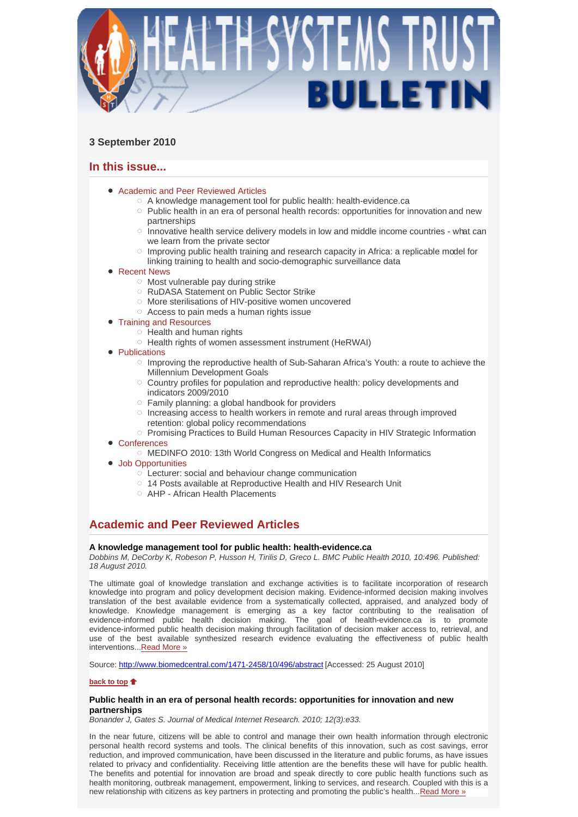

# **3 September 2010**

# **In this issue...**

- Academic and Peer Reviewed Articles
	- A knowledge management tool for public health: health-evidence.ca
	- $\circ$  Public health in an era of personal health records: opportunities for innovation and new partnerships
	- $\circ$  Innovative health service delivery models in low and middle income countries what can we learn from the private sector
	- Improving public health training and research capacity in Africa: a replicable model for linking training to health and socio-demographic surveillance data
- Recent News
	- $\circ$  Most vulnerable pay during strike
	- RuDASA Statement on Public Sector Strike
	- More sterilisations of HIV-positive women uncovered
	- Access to pain meds a human rights issue
- Training and Resources
	- $\circ$  Health and human rights
	- Health rights of women assessment instrument (HeRWAI)
- Publications
	- $\circ$  Improving the reproductive health of Sub-Saharan Africa's Youth: a route to achieve the Millennium Development Goals
	- Country profiles for population and reproductive health: policy developments and indicators 2009/2010
	- Family planning: a global handbook for providers
	- $\circ$  Increasing access to health workers in remote and rural areas through improved retention: global policy recommendations
	- o Promising Practices to Build Human Resources Capacity in HIV Strategic Information
- Conferences
	- MEDINFO 2010: 13th World Congress on Medical and Health Informatics
- Job Opportunities
	- Lecturer: social and behaviour change communication
	- 14 Posts available at Reproductive Health and HIV Research Unit
	- AHP African Health Placements

# **Academic and Peer Reviewed Articles**

# **A knowledge management tool for public health: health-evidence.ca**

*Dobbins M, DeCorby K, Robeson P, Husson H, Tirilis D, Greco L. BMC Public Health 2010, 10:496. Published: 18 August 2010.* 

The ultimate goal of knowledge translation and exchange activities is to facilitate incorporation of research knowledge into program and policy development decision making. Evidence-informed decision making involves translation of the best available evidence from a systematically collected, appraised, and analyzed body of knowledge. Knowledge management is emerging as a key factor contributing to the realisation of evidence-informed public health decision making. The goal of health-evidence.ca is to promote evidence-informed public health decision making through facilitation of decision maker access to, retrieval, and use of the best available synthesized research evidence evaluating the effectiveness of public health interventions...Read More »

Source: http://www.biomedcentral.com/1471-2458/10/496/abstract [Accessed: 25 August 2010]

# **back to top**

# **Public health in an era of personal health records: opportunities for innovation and new partnerships**

*Bonander J, Gates S. Journal of Medical Internet Research. 2010; 12(3):e33.* 

In the near future, citizens will be able to control and manage their own health information through electronic personal health record systems and tools. The clinical benefits of this innovation, such as cost savings, error reduction, and improved communication, have been discussed in the literature and public forums, as have issues related to privacy and confidentiality. Receiving little attention are the benefits these will have for public health. The benefits and potential for innovation are broad and speak directly to core public health functions such as health monitoring, outbreak management, empowerment, linking to services, and research. Coupled with this is a new relationship with citizens as key partners in protecting and promoting the public's health...Read More »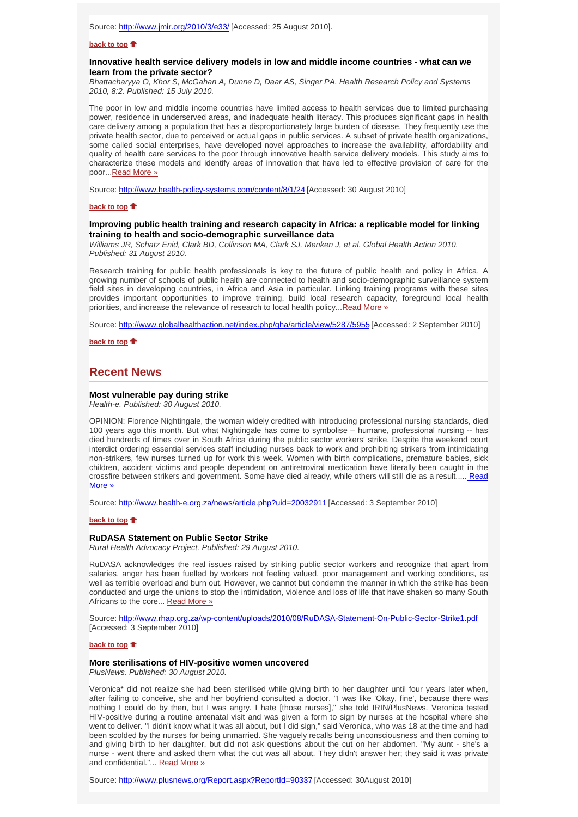# **back to top**

## **Innovative health service delivery models in low and middle income countries - what can we learn from the private sector?**

*Bhattacharyya O, Khor S, McGahan A, Dunne D, Daar AS, Singer PA. Health Research Policy and Systems 2010, 8:2. Published: 15 July 2010.* 

The poor in low and middle income countries have limited access to health services due to limited purchasing power, residence in underserved areas, and inadequate health literacy. This produces significant gaps in health care delivery among a population that has a disproportionately large burden of disease. They frequently use the private health sector, due to perceived or actual gaps in public services. A subset of private health organizations, some called social enterprises, have developed novel approaches to increase the availability, affordability and quality of health care services to the poor through innovative health service delivery models. This study aims to characterize these models and identify areas of innovation that have led to effective provision of care for the poor...Read More »

Source: http://www.health-policy-systems.com/content/8/1/24 [Accessed: 30 August 2010]

# **back to top**

### **Improving public health training and research capacity in Africa: a replicable model for linking training to health and socio-demographic surveillance data**

*Williams JR, Schatz Enid, Clark BD, Collinson MA, Clark SJ, Menken J, et al. Global Health Action 2010. Published: 31 August 2010.*

Research training for public health professionals is key to the future of public health and policy in Africa. A growing number of schools of public health are connected to health and socio-demographic surveillance system field sites in developing countries, in Africa and Asia in particular. Linking training programs with these sites provides important opportunities to improve training, build local research capacity, foreground local health priorities, and increase the relevance of research to local health policy...Read More »

Source: http://www.globalhealthaction.net/index.php/gha/article/view/5287/5955 [Accessed: 2 September 2010]

**back to top**

# **Recent News**

### **Most vulnerable pay during strike**

*Health-e. Published: 30 August 2010.* 

OPINION: Florence Nightingale, the woman widely credited with introducing professional nursing standards, died 100 years ago this month. But what Nightingale has come to symbolise – humane, professional nursing -- has died hundreds of times over in South Africa during the public sector workers' strike. Despite the weekend court interdict ordering essential services staff including nurses back to work and prohibiting strikers from intimidating non-strikers, few nurses turned up for work this week. Women with birth complications, premature babies, sick children, accident victims and people dependent on antiretroviral medication have literally been caught in the crossfire between strikers and government. Some have died already, while others will still die as a result..... Read More »

Source: http://www.health-e.org.za/news/article.php?uid=20032911 [Accessed: 3 September 2010]

#### **back to top**

#### **RuDASA Statement on Public Sector Strike**

*Rural Health Advocacy Project. Published: 29 August 2010.*

RuDASA acknowledges the real issues raised by striking public sector workers and recognize that apart from salaries, anger has been fuelled by workers not feeling valued, poor management and working conditions, as well as terrible overload and burn out. However, we cannot but condemn the manner in which the strike has been conducted and urge the unions to stop the intimidation, violence and loss of life that have shaken so many South Africans to the core... Read More »

Source: http://www.rhap.org.za/wp-content/uploads/2010/08/RuDASA-Statement-On-Public-Sector-Strike1.pdf [Accessed: 3 September 2010]

#### **back to top**

## **More sterilisations of HIV-positive women uncovered**

*PlusNews. Published: 30 August 2010.*

Veronica\* did not realize she had been sterilised while giving birth to her daughter until four years later when, after failing to conceive, she and her boyfriend consulted a doctor. "I was like 'Okay, fine', because there was nothing I could do by then, but I was angry. I hate [those nurses]," she told IRIN/PlusNews. Veronica tested HIV-positive during a routine antenatal visit and was given a form to sign by nurses at the hospital where she went to deliver. "I didn't know what it was all about, but I did sign," said Veronica, who was 18 at the time and had been scolded by the nurses for being unmarried. She vaguely recalls being unconsciousness and then coming to and giving birth to her daughter, but did not ask questions about the cut on her abdomen. "My aunt - she's a nurse - went there and asked them what the cut was all about. They didn't answer her; they said it was private and confidential."... Read More »

Source: http://www.plusnews.org/Report.aspx?ReportId=90337 [Accessed: 30August 2010]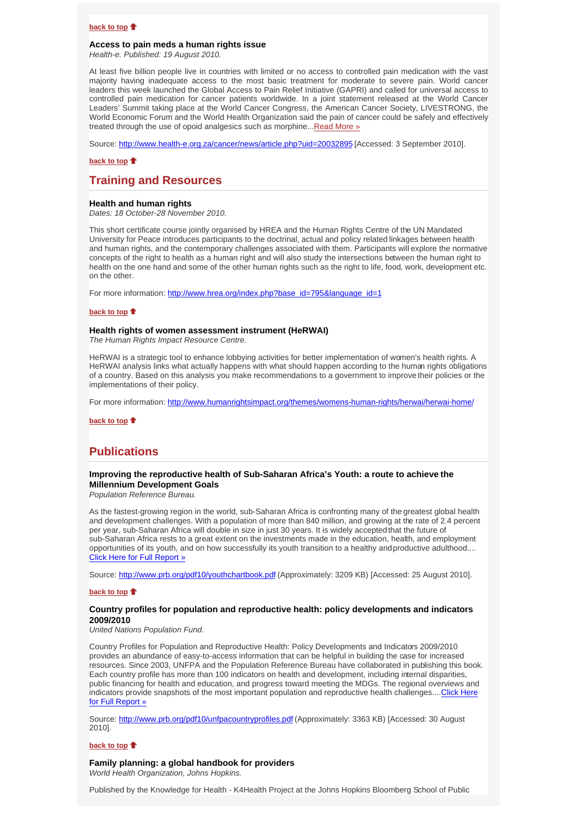## **back to top**

#### **Access to pain meds a human rights issue**

*Health-e. Published: 19 August 2010.*

At least five billion people live in countries with limited or no access to controlled pain medication with the vast majority having inadequate access to the most basic treatment for moderate to severe pain. World cancer leaders this week launched the Global Access to Pain Relief Initiative (GAPRI) and called for universal access to controlled pain medication for cancer patients worldwide. In a joint statement released at the World Cancer Leaders' Summit taking place at the World Cancer Congress, the American Cancer Society, LIVESTRONG, the World Economic Forum and the World Health Organization said the pain of cancer could be safely and effectively treated through the use of opoid analgesics such as morphine... Read More »

Source: http://www.health-e.org.za/cancer/news/article.php?uid=20032895 [Accessed: 3 September 2010].

### **back to top**

# **Training and Resources**

#### **Health and human rights**

*Dates: 18 October-28 November 2010.*

This short certificate course jointly organised by HREA and the Human Rights Centre of the UN Mandated University for Peace introduces participants to the doctrinal, actual and policy related linkages between health and human rights, and the contemporary challenges associated with them. Participants will explore the normative concepts of the right to health as a human right and will also study the intersections between the human right to health on the one hand and some of the other human rights such as the right to life, food, work, development etc. on the other.

For more information: http://www.hrea.org/index.php?base\_id=795&language\_id=1

#### **back to top**

#### **Health rights of women assessment instrument (HeRWAI)**

*The Human Rights Impact Resource Centre.*

HeRWAI is a strategic tool to enhance lobbying activities for better implementation of women's health rights. A HeRWAI analysis links what actually happens with what should happen according to the human rights obligations of a country. Based on this analysis you make recommendations to a government to improve their policies or the implementations of their policy.

For more information: http://www.humanrightsimpact.org/themes/womens-human-rights/herwai/herwai-home/

**back to top**

# **Publications**

# **Improving the reproductive health of Sub-Saharan Africa's Youth: a route to achieve the Millennium Development Goals**

*Population Reference Bureau.*

As the fastest-growing region in the world, sub-Saharan Africa is confronting many of the greatest global health and development challenges. With a population of more than 840 million, and growing at the rate of 2.4 percent per year, sub-Saharan Africa will double in size in just 30 years. It is widely accepted that the future of sub-Saharan Africa rests to a great extent on the investments made in the education, health, and employment opportunities of its youth, and on how successfully its youth transition to a healthy and productive adulthood.... Click Here for Full Report »

Source: http://www.prb.org/pdf10/youthchartbook.pdf (Approximately: 3209 KB) [Accessed: 25 August 2010].

# **back to top**  $\triangle$

# **Country profiles for population and reproductive health: policy developments and indicators 2009/2010**

*United Nations Population Fund.*

Country Profiles for Population and Reproductive Health: Policy Developments and Indicators 2009/2010 provides an abundance of easy-to-access information that can be helpful in building the case for increased resources. Since 2003, UNFPA and the Population Reference Bureau have collaborated in publishing this book. Each country profile has more than 100 indicators on health and development, including internal disparities, public financing for health and education, and progress toward meeting the MDGs. The regional overviews and indicators provide snapshots of the most important population and reproductive health challenges....Click Here for Full Report »

Source: http://www.prb.org/pdf10/unfpacountryprofiles.pdf (Approximately: 3363 KB) [Accessed: 30 August 2010].

## **back to top**

## **Family planning: a global handbook for providers**

*World Health Organization, Johns Hopkins.*

Published by the Knowledge for Health - K4Health Project at the Johns Hopkins Bloomberg School of Public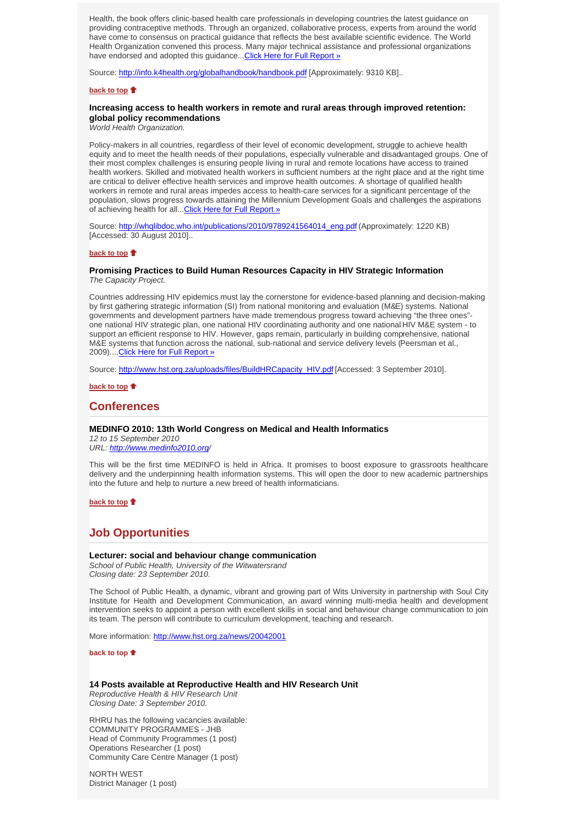Health, the book offers clinic-based health care professionals in developing countries the latest guidance on providing contraceptive methods. Through an organized, collaborative process, experts from around the world have come to consensus on practical guidance that reflects the best available scientific evidence. The World Health Organization convened this process. Many major technical assistance and professional organizations have endorsed and adopted this guidance...Click Here for Full Report »

Source: http://info.k4health.org/globalhandbook/handbook.pdf [Approximately: 9310 KB]..

### **back to top**

# **Increasing access to health workers in remote and rural areas through improved retention: global policy recommendations**

*World Health Organization.*

Policy-makers in all countries, regardless of their level of economic development, struggle to achieve health equity and to meet the health needs of their populations, especially vulnerable and disadvantaged groups. One of their most complex challenges is ensuring people living in rural and remote locations have access to trained health workers. Skilled and motivated health workers in sufficient numbers at the right place and at the right time are critical to deliver effective health services and improve health outcomes. A shortage of qualified health workers in remote and rural areas impedes access to health-care services for a significant percentage of the population, slows progress towards attaining the Millennium Development Goals and challenges the aspirations of achieving health for all...Click Here for Full Report »

Source: http://whqlibdoc.who.int/publications/2010/9789241564014\_eng.pdf (Approximately: 1220 KB) [Accessed: 30 August 2010]..

# **back to top**

## **Promising Practices to Build Human Resources Capacity in HIV Strategic Information** *The Capacity Project.*

Countries addressing HIV epidemics must lay the cornerstone for evidence-based planning and decision-making by first gathering strategic information (SI) from national monitoring and evaluation (M&E) systems. National governments and development partners have made tremendous progress toward achieving "the three ones" one national HIV strategic plan, one national HIV coordinating authority and one national HIV M&E system - to support an efficient response to HIV. However, gaps remain, particularly in building comprehensive, national M&E systems that function across the national, sub-national and service delivery levels (Peersman et al., 2009)....Click Here for Full Report »

Source: http://www.hst.org.za/uploads/files/BuildHRCapacity\_HIV.pdf [Accessed: 3 September 2010].

**back to top**

# **Conferences**

# **MEDINFO 2010: 13th World Congress on Medical and Health Informatics**

*12 to 15 September 2010 URL: http://www.medinfo2010.org/* 

This will be the first time MEDINFO is held in Africa. It promises to boost exposure to grassroots healthcare delivery and the underpinning health information systems. This will open the door to new academic partnerships into the future and help to nurture a new breed of health informaticians.

**back to top**

# **Job Opportunities**

### **Lecturer: social and behaviour change communication**

*School of Public Health, University of the Witwatersrand Closing date: 23 September 2010.*

The School of Public Health, a dynamic, vibrant and growing part of Wits University in partnership with Soul City Institute for Health and Development Communication, an award winning multi-media health and development intervention seeks to appoint a person with excellent skills in social and behaviour change communication to join its team. The person will contribute to curriculum development, teaching and research.

More information: http://www.hst.org.za/news/20042001

**back to top** 

# **14 Posts available at Reproductive Health and HIV Research Unit**

*Reproductive Health & HIV Research Unit Closing Date: 3 September 2010.*

RHRU has the following vacancies available: COMMUNITY PROGRAMMES - JHB Head of Community Programmes (1 post) Operations Researcher (1 post) Community Care Centre Manager (1 post)

NORTH WEST District Manager (1 post)